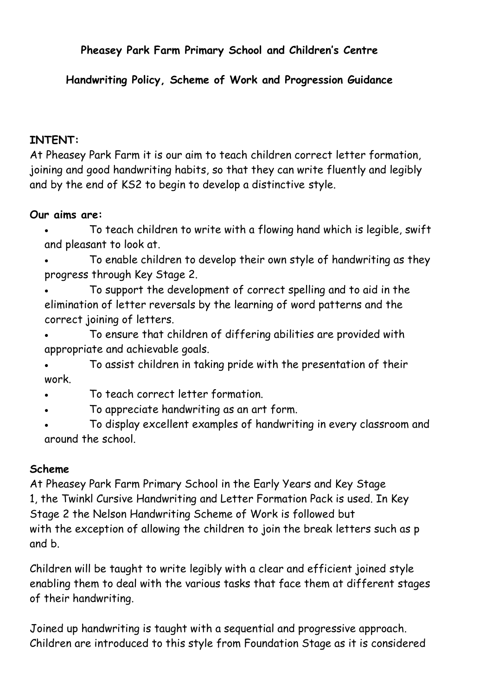# **Pheasey Park Farm Primary School and Children's Centre**

#### **Handwriting Policy, Scheme of Work and Progression Guidance**

#### **INTENT:**

At Pheasey Park Farm it is our aim to teach children correct letter formation, joining and good handwriting habits, so that they can write fluently and legibly and by the end of KS2 to begin to develop a distinctive style.

#### **Our aims are:**

- To teach children to write with a flowing hand which is legible, swift and pleasant to look at.
- To enable children to develop their own style of handwriting as they progress through Key Stage 2.
- To support the development of correct spelling and to aid in the elimination of letter reversals by the learning of word patterns and the correct joining of letters.
- To ensure that children of differing abilities are provided with appropriate and achievable goals.
- To assist children in taking pride with the presentation of their work.
- To teach correct letter formation.
- To appreciate handwriting as an art form.
- To display excellent examples of handwriting in every classroom and around the school.

#### **Scheme**

At Pheasey Park Farm Primary School in the Early Years and Key Stage 1, the Twinkl Cursive Handwriting and Letter Formation Pack is used. In Key Stage 2 the Nelson Handwriting Scheme of Work is followed but with the exception of allowing the children to join the break letters such as p and b.

Children will be taught to write legibly with a clear and efficient joined style enabling them to deal with the various tasks that face them at different stages of their handwriting.

Joined up handwriting is taught with a sequential and progressive approach. Children are introduced to this style from Foundation Stage as it is considered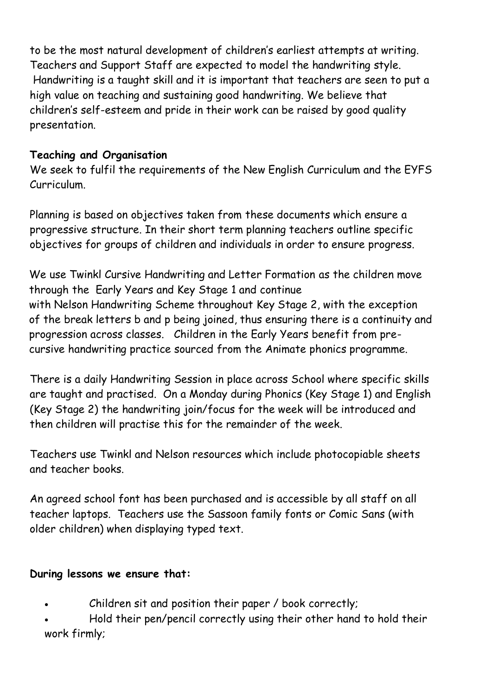to be the most natural development of children's earliest attempts at writing. Teachers and Support Staff are expected to model the handwriting style. Handwriting is a taught skill and it is important that teachers are seen to put a high value on teaching and sustaining good handwriting. We believe that children's self-esteem and pride in their work can be raised by good quality presentation.

# **Teaching and Organisation**

We seek to fulfil the requirements of the New English Curriculum and the EYFS Curriculum.

Planning is based on objectives taken from these documents which ensure a progressive structure. In their short term planning teachers outline specific objectives for groups of children and individuals in order to ensure progress.

We use Twinkl Cursive Handwriting and Letter Formation as the children move through the Early Years and Key Stage 1 and continue with Nelson Handwriting Scheme throughout Key Stage 2, with the exception of the break letters b and p being joined, thus ensuring there is a continuity and progression across classes. Children in the Early Years benefit from precursive handwriting practice sourced from the Animate phonics programme.

There is a daily Handwriting Session in place across School where specific skills are taught and practised. On a Monday during Phonics (Key Stage 1) and English (Key Stage 2) the handwriting join/focus for the week will be introduced and then children will practise this for the remainder of the week.

Teachers use Twinkl and Nelson resources which include photocopiable sheets and teacher books.

An agreed school font has been purchased and is accessible by all staff on all teacher laptops. Teachers use the Sassoon family fonts or Comic Sans (with older children) when displaying typed text.

# **During lessons we ensure that:**

- Children sit and position their paper / book correctly;
- Hold their pen/pencil correctly using their other hand to hold their work firmly;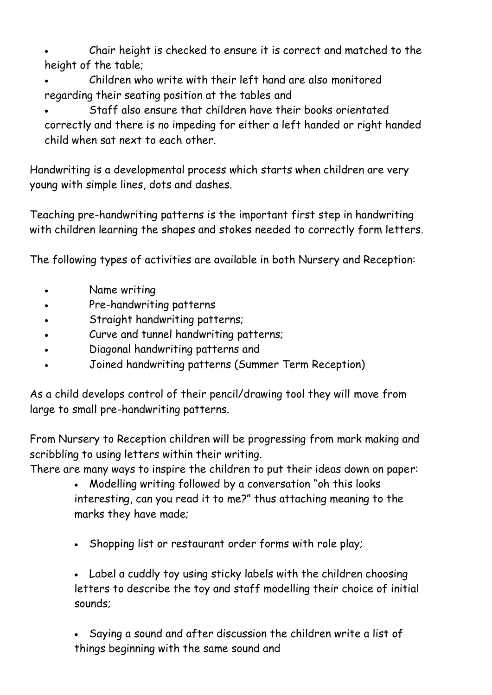- Chair height is checked to ensure it is correct and matched to the height of the table;
- Children who write with their left hand are also monitored regarding their seating position at the tables and
- Staff also ensure that children have their books orientated correctly and there is no impeding for either a left handed or right handed child when sat next to each other.

Handwriting is a developmental process which starts when children are very young with simple lines, dots and dashes.

Teaching pre-handwriting patterns is the important first step in handwriting with children learning the shapes and stokes needed to correctly form letters.

The following types of activities are available in both Nursery and Reception:

- Name writing
- Pre-handwriting patterns
- Straight handwriting patterns;
- Curve and tunnel handwriting patterns;
- Diagonal handwriting patterns and
- Joined handwriting patterns (Summer Term Reception)

As a child develops control of their pencil/drawing tool they will move from large to small pre-handwriting patterns.

From Nursery to Reception children will be progressing from mark making and scribbling to using letters within their writing.

There are many ways to inspire the children to put their ideas down on paper:

- Modelling writing followed by a conversation "oh this looks interesting, can you read it to me?" thus attaching meaning to the marks they have made;
- Shopping list or restaurant order forms with role play;

• Label a cuddly toy using sticky labels with the children choosing letters to describe the toy and staff modelling their choice of initial sounds;

• Saying a sound and after discussion the children write a list of things beginning with the same sound and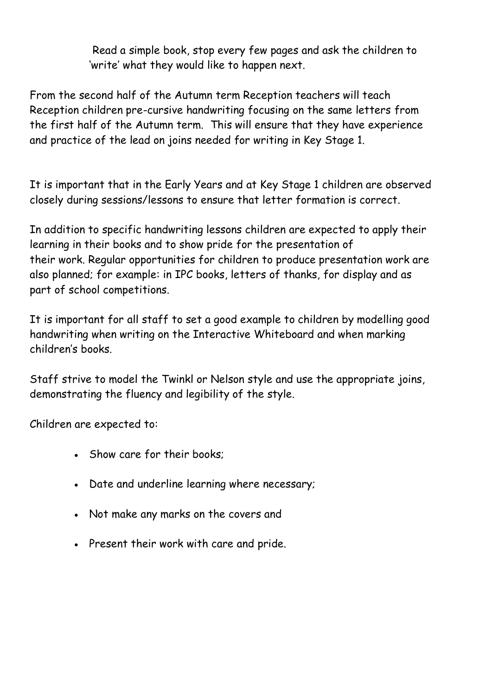Read a simple book, stop every few pages and ask the children to 'write' what they would like to happen next.

From the second half of the Autumn term Reception teachers will teach Reception children pre-cursive handwriting focusing on the same letters from the first half of the Autumn term. This will ensure that they have experience and practice of the lead on joins needed for writing in Key Stage 1.

It is important that in the Early Years and at Key Stage 1 children are observed closely during sessions/lessons to ensure that letter formation is correct.

In addition to specific handwriting lessons children are expected to apply their learning in their books and to show pride for the presentation of their work. Regular opportunities for children to produce presentation work are also planned; for example: in IPC books, letters of thanks, for display and as part of school competitions.

It is important for all staff to set a good example to children by modelling good handwriting when writing on the Interactive Whiteboard and when marking children's books.

Staff strive to model the Twinkl or Nelson style and use the appropriate joins, demonstrating the fluency and legibility of the style.

Children are expected to:

- Show care for their books;
- Date and underline learning where necessary;
- Not make any marks on the covers and
- Present their work with care and pride.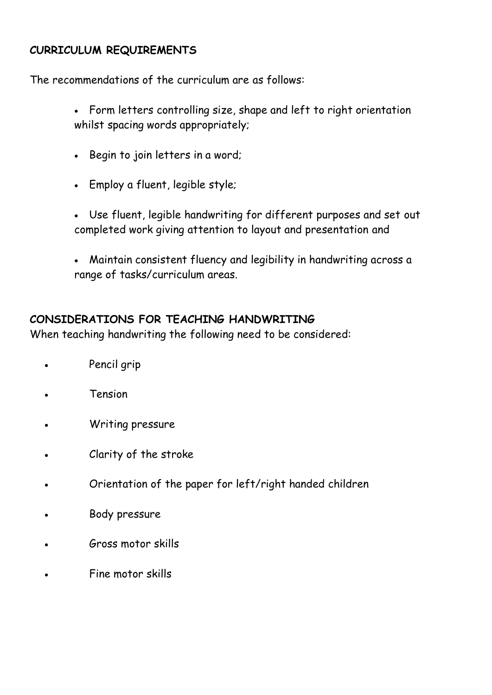#### **CURRICULUM REQUIREMENTS**

The recommendations of the curriculum are as follows:

- Form letters controlling size, shape and left to right orientation whilst spacing words appropriately;
- Begin to join letters in a word;
- Employ a fluent, legible style;
- Use fluent, legible handwriting for different purposes and set out completed work giving attention to layout and presentation and
- Maintain consistent fluency and legibility in handwriting across a range of tasks/curriculum areas.

#### **CONSIDERATIONS FOR TEACHING HANDWRITING**

When teaching handwriting the following need to be considered:

- Pencil grip
- **Tension**
- Writing pressure
- Clarity of the stroke
- Orientation of the paper for left/right handed children
- Body pressure
- Gross motor skills
- Fine motor skills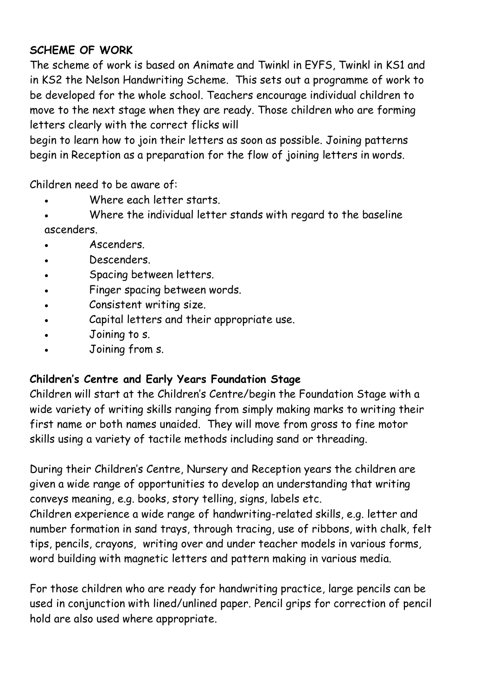# **SCHEME OF WORK**

The scheme of work is based on Animate and Twinkl in EYFS, Twinkl in KS1 and in KS2 the Nelson Handwriting Scheme. This sets out a programme of work to be developed for the whole school. Teachers encourage individual children to move to the next stage when they are ready. Those children who are forming letters clearly with the correct flicks will

begin to learn how to join their letters as soon as possible. Joining patterns begin in Reception as a preparation for the flow of joining letters in words.

Children need to be aware of:

- Where each letter starts.
- Where the individual letter stands with regard to the baseline ascenders.
- Ascenders.
- Descenders.
- Spacing between letters.
- Finger spacing between words.
- Consistent writing size.
- Capital letters and their appropriate use.
- Joining to s.
- Joining from s.

# **Children's Centre and Early Years Foundation Stage**

Children will start at the Children's Centre/begin the Foundation Stage with a wide variety of writing skills ranging from simply making marks to writing their first name or both names unaided. They will move from gross to fine motor skills using a variety of tactile methods including sand or threading.

During their Children's Centre, Nursery and Reception years the children are given a wide range of opportunities to develop an understanding that writing conveys meaning, e.g. books, story telling, signs, labels etc.

Children experience a wide range of handwriting-related skills, e.g. letter and number formation in sand trays, through tracing, use of ribbons, with chalk, felt tips, pencils, crayons, writing over and under teacher models in various forms, word building with magnetic letters and pattern making in various media.

For those children who are ready for handwriting practice, large pencils can be used in conjunction with lined/unlined paper. Pencil grips for correction of pencil hold are also used where appropriate.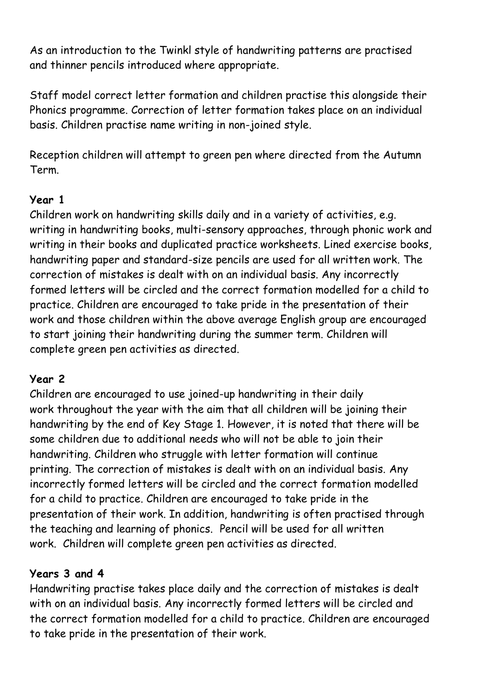As an introduction to the Twinkl style of handwriting patterns are practised and thinner pencils introduced where appropriate.

Staff model correct letter formation and children practise this alongside their Phonics programme. Correction of letter formation takes place on an individual basis. Children practise name writing in non-joined style.

Reception children will attempt to green pen where directed from the Autumn Term.

#### **Year 1**

Children work on handwriting skills daily and in a variety of activities, e.g. writing in handwriting books, multi-sensory approaches, through phonic work and writing in their books and duplicated practice worksheets. Lined exercise books, handwriting paper and standard-size pencils are used for all written work. The correction of mistakes is dealt with on an individual basis. Any incorrectly formed letters will be circled and the correct formation modelled for a child to practice. Children are encouraged to take pride in the presentation of their work and those children within the above average English group are encouraged to start joining their handwriting during the summer term. Children will complete green pen activities as directed.

# **Year 2**

Children are encouraged to use joined-up handwriting in their daily work throughout the year with the aim that all children will be joining their handwriting by the end of Key Stage 1. However, it is noted that there will be some children due to additional needs who will not be able to join their handwriting. Children who struggle with letter formation will continue printing. The correction of mistakes is dealt with on an individual basis. Any incorrectly formed letters will be circled and the correct formation modelled for a child to practice. Children are encouraged to take pride in the presentation of their work. In addition, handwriting is often practised through the teaching and learning of phonics. Pencil will be used for all written work. Children will complete green pen activities as directed.

# **Years 3 and 4**

Handwriting practise takes place daily and the correction of mistakes is dealt with on an individual basis. Any incorrectly formed letters will be circled and the correct formation modelled for a child to practice. Children are encouraged to take pride in the presentation of their work.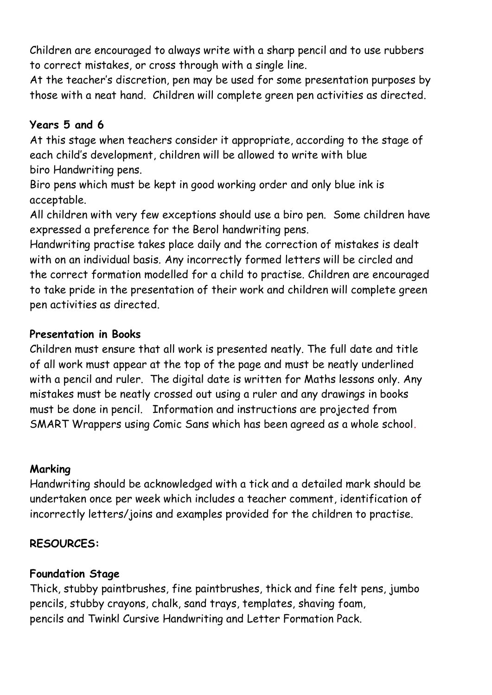Children are encouraged to always write with a sharp pencil and to use rubbers to correct mistakes, or cross through with a single line.

At the teacher's discretion, pen may be used for some presentation purposes by those with a neat hand. Children will complete green pen activities as directed.

#### **Years 5 and 6**

At this stage when teachers consider it appropriate, according to the stage of each child's development, children will be allowed to write with blue biro Handwriting pens.

Biro pens which must be kept in good working order and only blue ink is acceptable.

All children with very few exceptions should use a biro pen. Some children have expressed a preference for the Berol handwriting pens.

Handwriting practise takes place daily and the correction of mistakes is dealt with on an individual basis. Any incorrectly formed letters will be circled and the correct formation modelled for a child to practise. Children are encouraged to take pride in the presentation of their work and children will complete green pen activities as directed.

#### **Presentation in Books**

Children must ensure that all work is presented neatly. The full date and title of all work must appear at the top of the page and must be neatly underlined with a pencil and ruler. The digital date is written for Maths lessons only. Any mistakes must be neatly crossed out using a ruler and any drawings in books must be done in pencil. Information and instructions are projected from SMART Wrappers using Comic Sans which has been agreed as a whole school.

#### **Marking**

Handwriting should be acknowledged with a tick and a detailed mark should be undertaken once per week which includes a teacher comment, identification of incorrectly letters/joins and examples provided for the children to practise.

# **RESOURCES:**

# **Foundation Stage**

Thick, stubby paintbrushes, fine paintbrushes, thick and fine felt pens, jumbo pencils, stubby crayons, chalk, sand trays, templates, shaving foam, pencils and Twinkl Cursive Handwriting and Letter Formation Pack.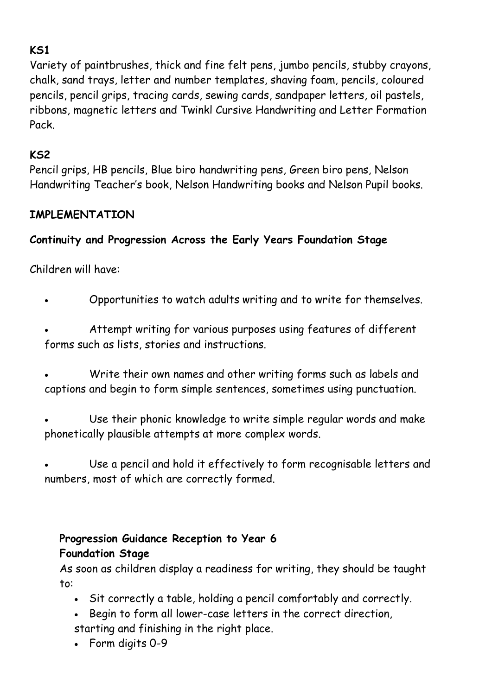# **KS1**

Variety of paintbrushes, thick and fine felt pens, jumbo pencils, stubby crayons, chalk, sand trays, letter and number templates, shaving foam, pencils, coloured pencils, pencil grips, tracing cards, sewing cards, sandpaper letters, oil pastels, ribbons, magnetic letters and Twinkl Cursive Handwriting and Letter Formation Pack.

#### **KS2**

Pencil grips, HB pencils, Blue biro handwriting pens, Green biro pens, Nelson Handwriting Teacher's book, Nelson Handwriting books and Nelson Pupil books.

#### **IMPLEMENTATION**

# **Continuity and Progression Across the Early Years Foundation Stage**

Children will have:

• Opportunities to watch adults writing and to write for themselves.

• Attempt writing for various purposes using features of different forms such as lists, stories and instructions.

- Write their own names and other writing forms such as labels and captions and begin to form simple sentences, sometimes using punctuation.
- Use their phonic knowledge to write simple regular words and make phonetically plausible attempts at more complex words.

Use a pencil and hold it effectively to form recognisable letters and numbers, most of which are correctly formed.

# **Progression Guidance Reception to Year 6 Foundation Stage**

As soon as children display a readiness for writing, they should be taught to:

- Sit correctly a table, holding a pencil comfortably and correctly.
- Begin to form all lower-case letters in the correct direction, starting and finishing in the right place.
- Form digits 0-9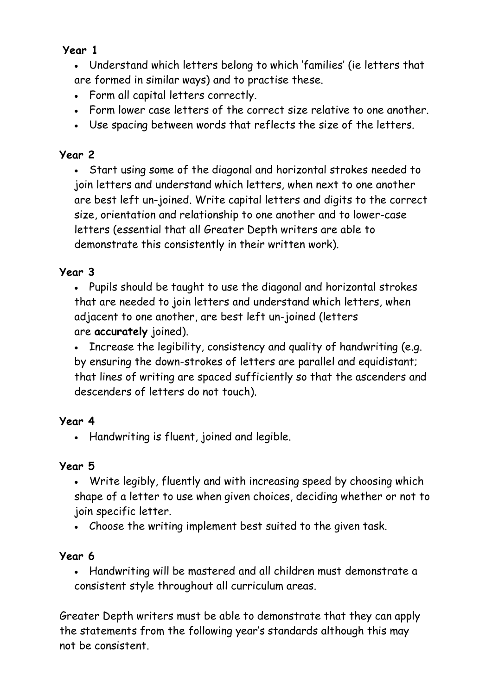# **Year 1**

• Understand which letters belong to which 'families' (ie letters that are formed in similar ways) and to practise these.

- Form all capital letters correctly.
- Form lower case letters of the correct size relative to one another.
- Use spacing between words that reflects the size of the letters.

# **Year 2**

• Start using some of the diagonal and horizontal strokes needed to join letters and understand which letters, when next to one another are best left un-joined. Write capital letters and digits to the correct size, orientation and relationship to one another and to lower-case letters (essential that all Greater Depth writers are able to demonstrate this consistently in their written work).

# **Year 3**

• Pupils should be taught to use the diagonal and horizontal strokes that are needed to join letters and understand which letters, when adjacent to one another, are best left un-joined (letters are **accurately** joined).

• Increase the legibility, consistency and quality of handwriting (e.g. by ensuring the down-strokes of letters are parallel and equidistant; that lines of writing are spaced sufficiently so that the ascenders and descenders of letters do not touch).

# **Year 4**

• Handwriting is fluent, joined and legible.

# **Year 5**

• Write legibly, fluently and with increasing speed by choosing which shape of a letter to use when given choices, deciding whether or not to join specific letter.

• Choose the writing implement best suited to the given task.

# **Year 6**

• Handwriting will be mastered and all children must demonstrate a consistent style throughout all curriculum areas.

Greater Depth writers must be able to demonstrate that they can apply the statements from the following year's standards although this may not be consistent.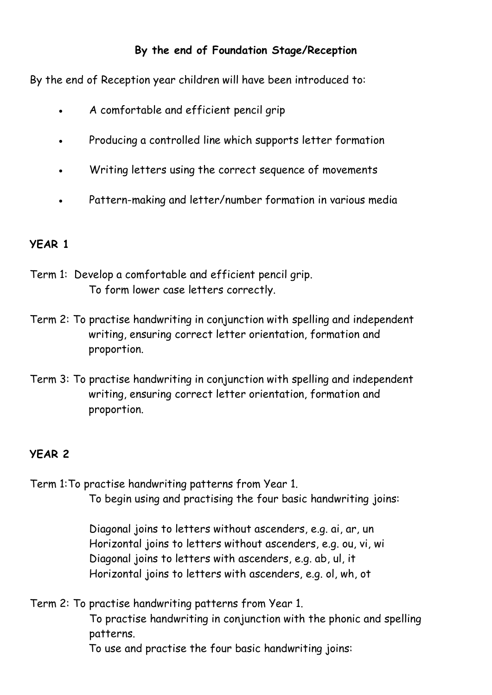# **By the end of Foundation Stage/Reception**

By the end of Reception year children will have been introduced to:

- A comfortable and efficient pencil grip
- Producing a controlled line which supports letter formation
- Writing letters using the correct sequence of movements
- Pattern-making and letter/number formation in various media

# **YEAR 1**

- Term 1: Develop a comfortable and efficient pencil grip. To form lower case letters correctly.
- Term 2: To practise handwriting in conjunction with spelling and independent writing, ensuring correct letter orientation, formation and proportion.
- Term 3: To practise handwriting in conjunction with spelling and independent writing, ensuring correct letter orientation, formation and proportion.

# **YEAR 2**

Term 1:To practise handwriting patterns from Year 1. To begin using and practising the four basic handwriting joins:

> Diagonal joins to letters without ascenders, e.g. ai, ar, un Horizontal joins to letters without ascenders, e.g. ou, vi, wi Diagonal joins to letters with ascenders, e.g. ab, ul, it Horizontal joins to letters with ascenders, e.g. ol, wh, ot

Term 2: To practise handwriting patterns from Year 1.

To practise handwriting in conjunction with the phonic and spelling patterns.

To use and practise the four basic handwriting joins: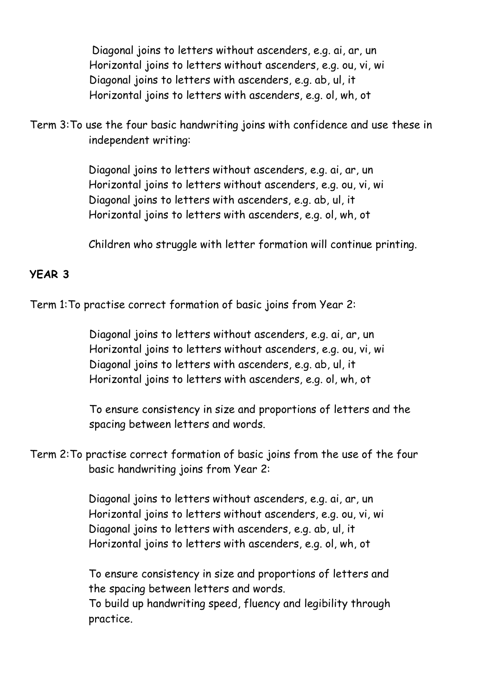Diagonal joins to letters without ascenders, e.g. ai, ar, un Horizontal joins to letters without ascenders, e.g. ou, vi, wi Diagonal joins to letters with ascenders, e.g. ab, ul, it Horizontal joins to letters with ascenders, e.g. ol, wh, ot

Term 3:To use the four basic handwriting joins with confidence and use these in independent writing:

> Diagonal joins to letters without ascenders, e.g. ai, ar, un Horizontal joins to letters without ascenders, e.g. ou, vi, wi Diagonal joins to letters with ascenders, e.g. ab, ul, it Horizontal joins to letters with ascenders, e.g. ol, wh, ot

Children who struggle with letter formation will continue printing.

#### **YEAR 3**

Term 1:To practise correct formation of basic joins from Year 2:

Diagonal joins to letters without ascenders, e.g. ai, ar, un Horizontal joins to letters without ascenders, e.g. ou, vi, wi Diagonal joins to letters with ascenders, e.g. ab, ul, it Horizontal joins to letters with ascenders, e.g. ol, wh, ot

To ensure consistency in size and proportions of letters and the spacing between letters and words.

Term 2:To practise correct formation of basic joins from the use of the four basic handwriting joins from Year 2:

> Diagonal joins to letters without ascenders, e.g. ai, ar, un Horizontal joins to letters without ascenders, e.g. ou, vi, wi Diagonal joins to letters with ascenders, e.g. ab, ul, it Horizontal joins to letters with ascenders, e.g. ol, wh, ot

To ensure consistency in size and proportions of letters and the spacing between letters and words. To build up handwriting speed, fluency and legibility through

practice.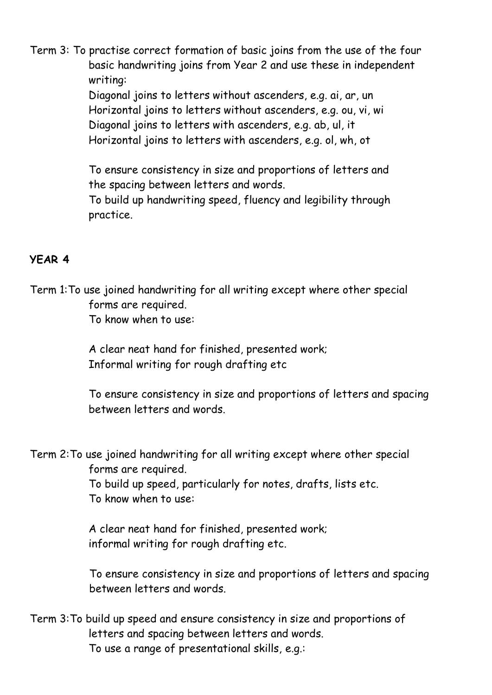Term 3: To practise correct formation of basic joins from the use of the four basic handwriting joins from Year 2 and use these in independent writing:

> Diagonal joins to letters without ascenders, e.g. ai, ar, un Horizontal joins to letters without ascenders, e.g. ou, vi, wi Diagonal joins to letters with ascenders, e.g. ab, ul, it Horizontal joins to letters with ascenders, e.g. ol, wh, ot

To ensure consistency in size and proportions of letters and the spacing between letters and words. To build up handwriting speed, fluency and legibility through

practice.

#### **YEAR 4**

Term 1:To use joined handwriting for all writing except where other special forms are required. To know when to use:

> A clear neat hand for finished, presented work; Informal writing for rough drafting etc

To ensure consistency in size and proportions of letters and spacing between letters and words.

Term 2:To use joined handwriting for all writing except where other special forms are required.

> To build up speed, particularly for notes, drafts, lists etc. To know when to use:

A clear neat hand for finished, presented work; informal writing for rough drafting etc.

To ensure consistency in size and proportions of letters and spacing between letters and words.

Term 3:To build up speed and ensure consistency in size and proportions of letters and spacing between letters and words. To use a range of presentational skills, e.g.: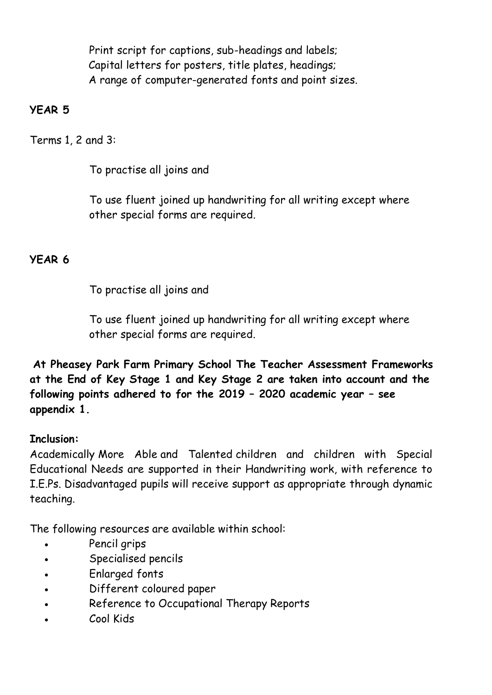Print script for captions, sub-headings and labels; Capital letters for posters, title plates, headings; A range of computer-generated fonts and point sizes.

#### **YEAR 5**

Terms 1, 2 and 3:

To practise all joins and

To use fluent joined up handwriting for all writing except where other special forms are required.

# **YEAR 6**

To practise all joins and

To use fluent joined up handwriting for all writing except where other special forms are required.

**At Pheasey Park Farm Primary School The Teacher Assessment Frameworks at the End of Key Stage 1 and Key Stage 2 are taken into account and the following points adhered to for the 2019 – 2020 academic year – see appendix 1.**

# **Inclusion:**

Academically More Able and Talented children and children with Special Educational Needs are supported in their Handwriting work, with reference to I.E.Ps. Disadvantaged pupils will receive support as appropriate through dynamic teaching.

The following resources are available within school:

- Pencil grips
- Specialised pencils
- Enlarged fonts
- Different coloured paper
- Reference to Occupational Therapy Reports
- Cool Kids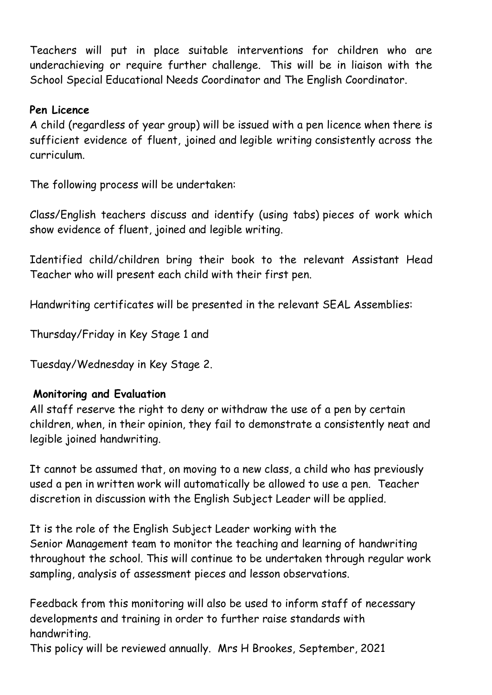Teachers will put in place suitable interventions for children who are underachieving or require further challenge. This will be in liaison with the School Special Educational Needs Coordinator and The English Coordinator.

#### **Pen Licence**

A child (regardless of year group) will be issued with a pen licence when there is sufficient evidence of fluent, joined and legible writing consistently across the curriculum.

The following process will be undertaken:

Class/English teachers discuss and identify (using tabs) pieces of work which show evidence of fluent, joined and legible writing.

Identified child/children bring their book to the relevant Assistant Head Teacher who will present each child with their first pen.

Handwriting certificates will be presented in the relevant SEAL Assemblies:

Thursday/Friday in Key Stage 1 and

Tuesday/Wednesday in Key Stage 2.

#### **Monitoring and Evaluation**

All staff reserve the right to deny or withdraw the use of a pen by certain children, when, in their opinion, they fail to demonstrate a consistently neat and legible joined handwriting.

It cannot be assumed that, on moving to a new class, a child who has previously used a pen in written work will automatically be allowed to use a pen. Teacher discretion in discussion with the English Subject Leader will be applied.

It is the role of the English Subject Leader working with the Senior Management team to monitor the teaching and learning of handwriting throughout the school. This will continue to be undertaken through regular work sampling, analysis of assessment pieces and lesson observations.

Feedback from this monitoring will also be used to inform staff of necessary developments and training in order to further raise standards with handwriting.

This policy will be reviewed annually. Mrs H Brookes, September, 2021